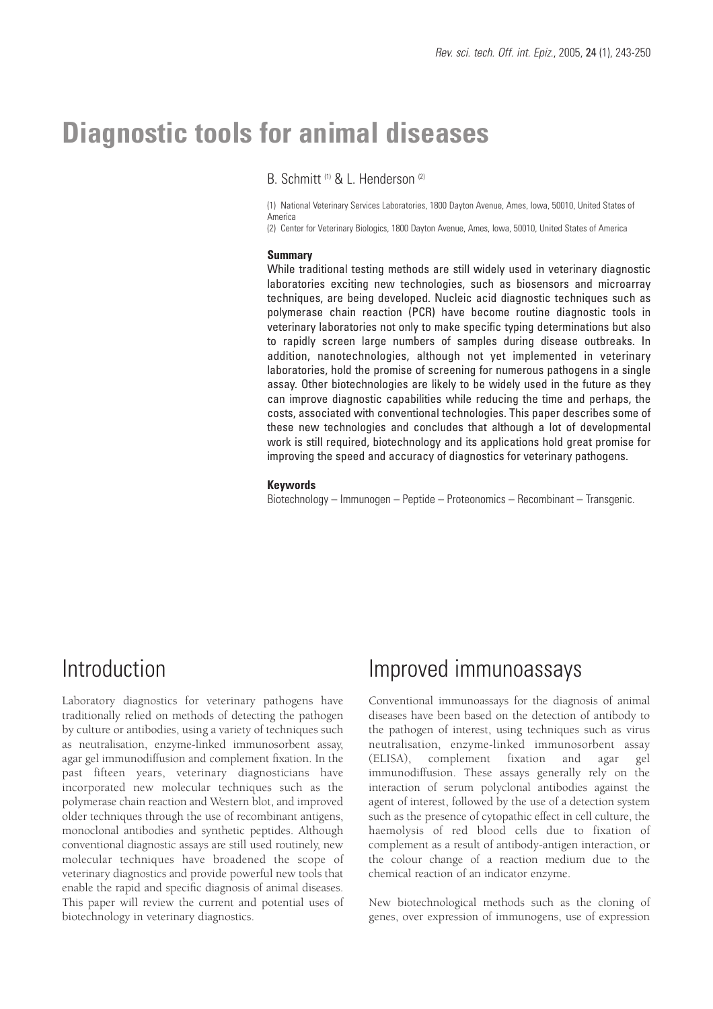# **Diagnostic tools for animal diseases**

B. Schmitt<sup>(1)</sup> & L. Henderson<sup>(2)</sup>

(1) National Veterinary Services Laboratories, 1800 Dayton Avenue, Ames, Iowa, 50010, United States of America

(2) Center for Veterinary Biologics, 1800 Dayton Avenue, Ames, Iowa, 50010, United States of America

#### **Summary**

While traditional testing methods are still widely used in veterinary diagnostic laboratories exciting new technologies, such as biosensors and microarray techniques, are being developed. Nucleic acid diagnostic techniques such as polymerase chain reaction (PCR) have become routine diagnostic tools in veterinary laboratories not only to make specific typing determinations but also to rapidly screen large numbers of samples during disease outbreaks. In addition, nanotechnologies, although not yet implemented in veterinary laboratories, hold the promise of screening for numerous pathogens in a single assay. Other biotechnologies are likely to be widely used in the future as they can improve diagnostic capabilities while reducing the time and perhaps, the costs, associated with conventional technologies. This paper describes some of these new technologies and concludes that although a lot of developmental work is still required, biotechnology and its applications hold great promise for improving the speed and accuracy of diagnostics for veterinary pathogens.

#### **Keywords**

Biotechnology – Immunogen – Peptide – Proteonomics – Recombinant – Transgenic.

#### Introduction

Laboratory diagnostics for veterinary pathogens have traditionally relied on methods of detecting the pathogen by culture or antibodies, using a variety of techniques such as neutralisation, enzyme-linked immunosorbent assay, agar gel immunodiffusion and complement fixation. In the past fifteen years, veterinary diagnosticians have incorporated new molecular techniques such as the polymerase chain reaction and Western blot, and improved older techniques through the use of recombinant antigens, monoclonal antibodies and synthetic peptides. Although conventional diagnostic assays are still used routinely, new molecular techniques have broadened the scope of veterinary diagnostics and provide powerful new tools that enable the rapid and specific diagnosis of animal diseases. This paper will review the current and potential uses of biotechnology in veterinary diagnostics.

#### Improved immunoassays

Conventional immunoassays for the diagnosis of animal diseases have been based on the detection of antibody to the pathogen of interest, using techniques such as virus neutralisation, enzyme-linked immunosorbent assay (ELISA), complement fixation and agar gel immunodiffusion. These assays generally rely on the interaction of serum polyclonal antibodies against the agent of interest, followed by the use of a detection system such as the presence of cytopathic effect in cell culture, the haemolysis of red blood cells due to fixation of complement as a result of antibody-antigen interaction, or the colour change of a reaction medium due to the chemical reaction of an indicator enzyme.

New biotechnological methods such as the cloning of genes, over expression of immunogens, use of expression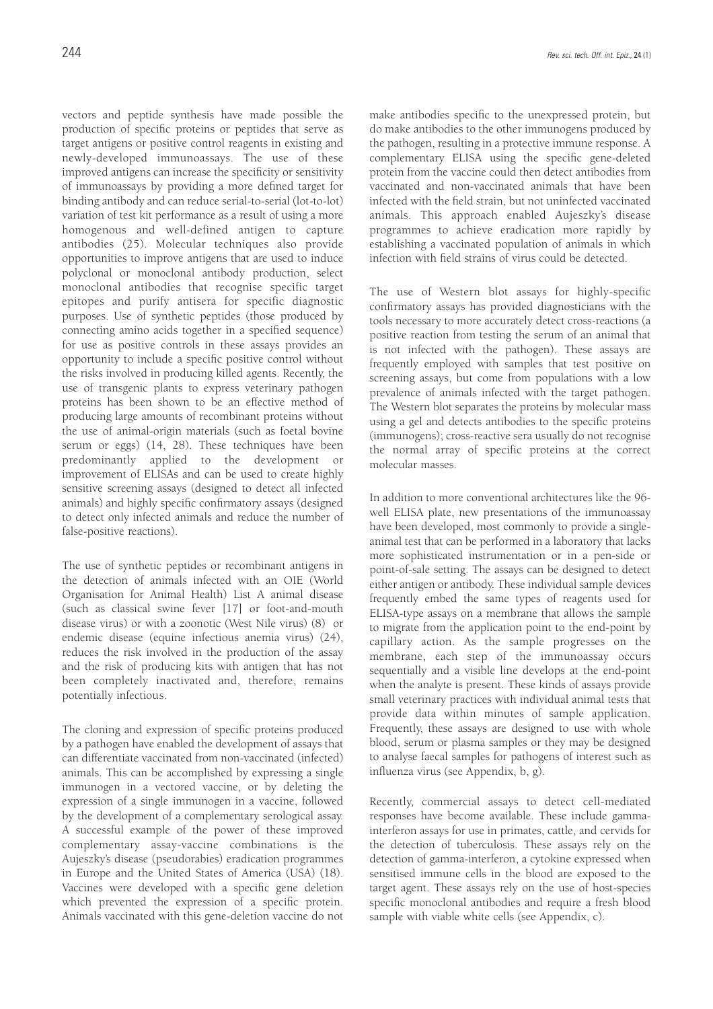vectors and peptide synthesis have made possible the production of specific proteins or peptides that serve as target antigens or positive control reagents in existing and newly-developed immunoassays. The use of these improved antigens can increase the specificity or sensitivity of immunoassays by providing a more defined target for binding antibody and can reduce serial-to-serial (lot-to-lot) variation of test kit performance as a result of using a more homogenous and well-defined antigen to capture antibodies (25). Molecular techniques also provide opportunities to improve antigens that are used to induce polyclonal or monoclonal antibody production, select monoclonal antibodies that recognise specific target epitopes and purify antisera for specific diagnostic purposes. Use of synthetic peptides (those produced by connecting amino acids together in a specified sequence) for use as positive controls in these assays provides an opportunity to include a specific positive control without the risks involved in producing killed agents. Recently, the use of transgenic plants to express veterinary pathogen proteins has been shown to be an effective method of producing large amounts of recombinant proteins without the use of animal-origin materials (such as foetal bovine serum or eggs) (14, 28). These techniques have been predominantly applied to the development or improvement of ELISAs and can be used to create highly sensitive screening assays (designed to detect all infected animals) and highly specific confirmatory assays (designed to detect only infected animals and reduce the number of false-positive reactions).

The use of synthetic peptides or recombinant antigens in the detection of animals infected with an OIE (World Organisation for Animal Health) List A animal disease (such as classical swine fever [17] or foot-and-mouth disease virus) or with a zoonotic (West Nile virus) (8) or endemic disease (equine infectious anemia virus) (24), reduces the risk involved in the production of the assay and the risk of producing kits with antigen that has not been completely inactivated and, therefore, remains potentially infectious.

The cloning and expression of specific proteins produced by a pathogen have enabled the development of assays that can differentiate vaccinated from non-vaccinated (infected) animals. This can be accomplished by expressing a single immunogen in a vectored vaccine, or by deleting the expression of a single immunogen in a vaccine, followed by the development of a complementary serological assay. A successful example of the power of these improved complementary assay-vaccine combinations is the Aujeszky's disease (pseudorabies) eradication programmes in Europe and the United States of America (USA) (18). Vaccines were developed with a specific gene deletion which prevented the expression of a specific protein. Animals vaccinated with this gene-deletion vaccine do not

make antibodies specific to the unexpressed protein, but do make antibodies to the other immunogens produced by the pathogen, resulting in a protective immune response. A complementary ELISA using the specific gene-deleted protein from the vaccine could then detect antibodies from vaccinated and non-vaccinated animals that have been infected with the field strain, but not uninfected vaccinated animals. This approach enabled Aujeszky's disease programmes to achieve eradication more rapidly by establishing a vaccinated population of animals in which infection with field strains of virus could be detected.

The use of Western blot assays for highly-specific confirmatory assays has provided diagnosticians with the tools necessary to more accurately detect cross-reactions (a positive reaction from testing the serum of an animal that is not infected with the pathogen). These assays are frequently employed with samples that test positive on screening assays, but come from populations with a low prevalence of animals infected with the target pathogen. The Western blot separates the proteins by molecular mass using a gel and detects antibodies to the specific proteins (immunogens); cross-reactive sera usually do not recognise the normal array of specific proteins at the correct molecular masses.

In addition to more conventional architectures like the 96 well ELISA plate, new presentations of the immunoassay have been developed, most commonly to provide a singleanimal test that can be performed in a laboratory that lacks more sophisticated instrumentation or in a pen-side or point-of-sale setting. The assays can be designed to detect either antigen or antibody. These individual sample devices frequently embed the same types of reagents used for ELISA-type assays on a membrane that allows the sample to migrate from the application point to the end-point by capillary action. As the sample progresses on the membrane, each step of the immunoassay occurs sequentially and a visible line develops at the end-point when the analyte is present. These kinds of assays provide small veterinary practices with individual animal tests that provide data within minutes of sample application. Frequently, these assays are designed to use with whole blood, serum or plasma samples or they may be designed to analyse faecal samples for pathogens of interest such as influenza virus (see Appendix, b, g).

Recently, commercial assays to detect cell-mediated responses have become available. These include gammainterferon assays for use in primates, cattle, and cervids for the detection of tuberculosis. These assays rely on the detection of gamma-interferon, a cytokine expressed when sensitised immune cells in the blood are exposed to the target agent. These assays rely on the use of host-species specific monoclonal antibodies and require a fresh blood sample with viable white cells (see Appendix, c).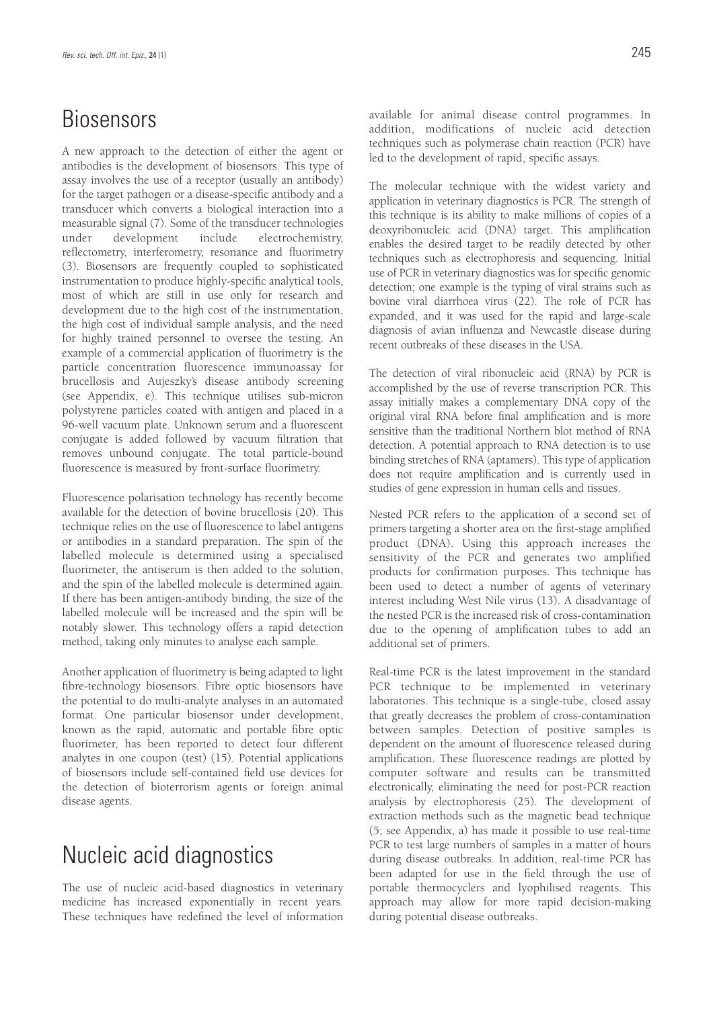### Biosensors

A new approach to the detection of either the agent or antibodies is the development of biosensors. This type of assay involves the use of a receptor (usually an antibody) for the target pathogen or a disease-specific antibody and a transducer which converts a biological interaction into a measurable signal (7). Some of the transducer technologies under development include electrochemistry, reflectometry, interferometry, resonance and fluorimetry (3). Biosensors are frequently coupled to sophisticated instrumentation to produce highly-specific analytical tools, most of which are still in use only for research and development due to the high cost of the instrumentation, the high cost of individual sample analysis, and the need for highly trained personnel to oversee the testing. An example of a commercial application of fluorimetry is the particle concentration fluorescence immunoassay for brucellosis and Aujeszky's disease antibody screening (see Appendix, e). This technique utilises sub-micron polystyrene particles coated with antigen and placed in a 96-well vacuum plate. Unknown serum and a fluorescent conjugate is added followed by vacuum filtration that removes unbound conjugate. The total particle-bound fluorescence is measured by front-surface fluorimetry.

Fluorescence polarisation technology has recently become available for the detection of bovine brucellosis (20). This technique relies on the use of fluorescence to label antigens or antibodies in a standard preparation. The spin of the labelled molecule is determined using a specialised fluorimeter, the antiserum is then added to the solution, and the spin of the labelled molecule is determined again. If there has been antigen-antibody binding, the size of the labelled molecule will be increased and the spin will be notably slower. This technology offers a rapid detection method, taking only minutes to analyse each sample.

Another application of fluorimetry is being adapted to light fibre-technology biosensors. Fibre optic biosensors have the potential to do multi-analyte analyses in an automated format. One particular biosensor under development, known as the rapid, automatic and portable fibre optic fluorimeter, has been reported to detect four different analytes in one coupon (test) (15). Potential applications of biosensors include self-contained field use devices for the detection of bioterrorism agents or foreign animal disease agents.

## Nucleic acid diagnostics

The use of nucleic acid-based diagnostics in veterinary medicine has increased exponentially in recent years. These techniques have redefined the level of information available for animal disease control programmes. In addition, modifications of nucleic acid detection techniques such as polymerase chain reaction (PCR) have led to the development of rapid, specific assays.

The molecular technique with the widest variety and application in veterinary diagnostics is PCR. The strength of this technique is its ability to make millions of copies of a deoxyribonucleic acid (DNA) target. This amplification enables the desired target to be readily detected by other techniques such as electrophoresis and sequencing. Initial use of PCR in veterinary diagnostics was for specific genomic detection; one example is the typing of viral strains such as bovine viral diarrhoea virus (22). The role of PCR has expanded, and it was used for the rapid and large-scale diagnosis of avian influenza and Newcastle disease during recent outbreaks of these diseases in the USA.

The detection of viral ribonucleic acid (RNA) by PCR is accomplished by the use of reverse transcription PCR. This assay initially makes a complementary DNA copy of the original viral RNA before final amplification and is more sensitive than the traditional Northern blot method of RNA detection. A potential approach to RNA detection is to use binding stretches of RNA (aptamers). This type of application does not require amplification and is currently used in studies of gene expression in human cells and tissues.

Nested PCR refers to the application of a second set of primers targeting a shorter area on the first-stage amplified product (DNA). Using this approach increases the sensitivity of the PCR and generates two amplified products for confirmation purposes. This technique has been used to detect a number of agents of veterinary interest including West Nile virus (13). A disadvantage of the nested PCR is the increased risk of cross-contamination due to the opening of amplification tubes to add an additional set of primers.

Real-time PCR is the latest improvement in the standard PCR technique to be implemented in veterinary laboratories. This technique is a single-tube, closed assay that greatly decreases the problem of cross-contamination between samples. Detection of positive samples is dependent on the amount of fluorescence released during amplification. These fluorescence readings are plotted by computer software and results can be transmitted electronically, eliminating the need for post-PCR reaction analysis by electrophoresis (25). The development of extraction methods such as the magnetic bead technique (5; see Appendix, a) has made it possible to use real-time PCR to test large numbers of samples in a matter of hours during disease outbreaks. In addition, real-time PCR has been adapted for use in the field through the use of portable thermocyclers and lyophilised reagents. This approach may allow for more rapid decision-making during potential disease outbreaks.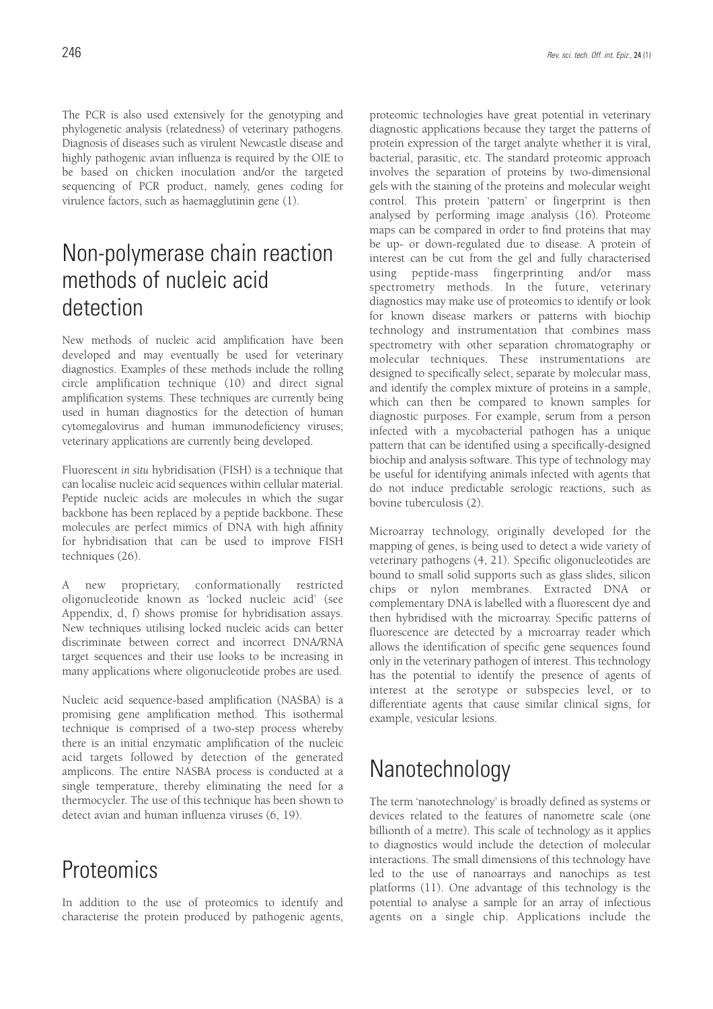The PCR is also used extensively for the genotyping and phylogenetic analysis (relatedness) of veterinary pathogens. Diagnosis of diseases such as virulent Newcastle disease and highly pathogenic avian influenza is required by the OIE to be based on chicken inoculation and/or the targeted sequencing of PCR product, namely, genes coding for virulence factors, such as haemagglutinin gene (1).

### Non-polymerase chain reaction methods of nucleic acid detection

New methods of nucleic acid amplification have been developed and may eventually be used for veterinary diagnostics. Examples of these methods include the rolling circle amplification technique (10) and direct signal amplification systems. These techniques are currently being used in human diagnostics for the detection of human cytomegalovirus and human immunodeficiency viruses; veterinary applications are currently being developed.

Fluorescent *in situ* hybridisation (FISH) is a technique that can localise nucleic acid sequences within cellular material. Peptide nucleic acids are molecules in which the sugar backbone has been replaced by a peptide backbone. These molecules are perfect mimics of DNA with high affinity for hybridisation that can be used to improve FISH techniques (26).

A new proprietary, conformationally restricted oligonucleotide known as 'locked nucleic acid' (see Appendix, d, f) shows promise for hybridisation assays. New techniques utilising locked nucleic acids can better discriminate between correct and incorrect DNA/RNA target sequences and their use looks to be increasing in many applications where oligonucleotide probes are used.

Nucleic acid sequence-based amplification (NASBA) is a promising gene amplification method. This isothermal technique is comprised of a two-step process whereby there is an initial enzymatic amplification of the nucleic acid targets followed by detection of the generated amplicons. The entire NASBA process is conducted at a single temperature, thereby eliminating the need for a thermocycler. The use of this technique has been shown to detect avian and human influenza viruses (6, 19).

### **Proteomics**

In addition to the use of proteomics to identify and characterise the protein produced by pathogenic agents, proteomic technologies have great potential in veterinary diagnostic applications because they target the patterns of protein expression of the target analyte whether it is viral, bacterial, parasitic, etc. The standard proteomic approach involves the separation of proteins by two-dimensional gels with the staining of the proteins and molecular weight control. This protein 'pattern' or fingerprint is then analysed by performing image analysis (16). Proteome maps can be compared in order to find proteins that may be up- or down-regulated due to disease. A protein of interest can be cut from the gel and fully characterised using peptide-mass fingerprinting and/or mass spectrometry methods. In the future, veterinary diagnostics may make use of proteomics to identify or look for known disease markers or patterns with biochip technology and instrumentation that combines mass spectrometry with other separation chromatography or molecular techniques. These instrumentations are designed to specifically select, separate by molecular mass, and identify the complex mixture of proteins in a sample, which can then be compared to known samples for diagnostic purposes. For example, serum from a person infected with a mycobacterial pathogen has a unique pattern that can be identified using a specifically-designed biochip and analysis software. This type of technology may be useful for identifying animals infected with agents that do not induce predictable serologic reactions, such as bovine tuberculosis (2).

Microarray technology, originally developed for the mapping of genes, is being used to detect a wide variety of veterinary pathogens (4, 21). Specific oligonucleotides are bound to small solid supports such as glass slides, silicon chips or nylon membranes. Extracted DNA or complementary DNA is labelled with a fluorescent dye and then hybridised with the microarray. Specific patterns of fluorescence are detected by a microarray reader which allows the identification of specific gene sequences found only in the veterinary pathogen of interest. This technology has the potential to identify the presence of agents of interest at the serotype or subspecies level, or to differentiate agents that cause similar clinical signs, for example, vesicular lesions.

## Nanotechnology

The term 'nanotechnology' is broadly defined as systems or devices related to the features of nanometre scale (one billionth of a metre). This scale of technology as it applies to diagnostics would include the detection of molecular interactions. The small dimensions of this technology have led to the use of nanoarrays and nanochips as test platforms (11). One advantage of this technology is the potential to analyse a sample for an array of infectious agents on a single chip. Applications include the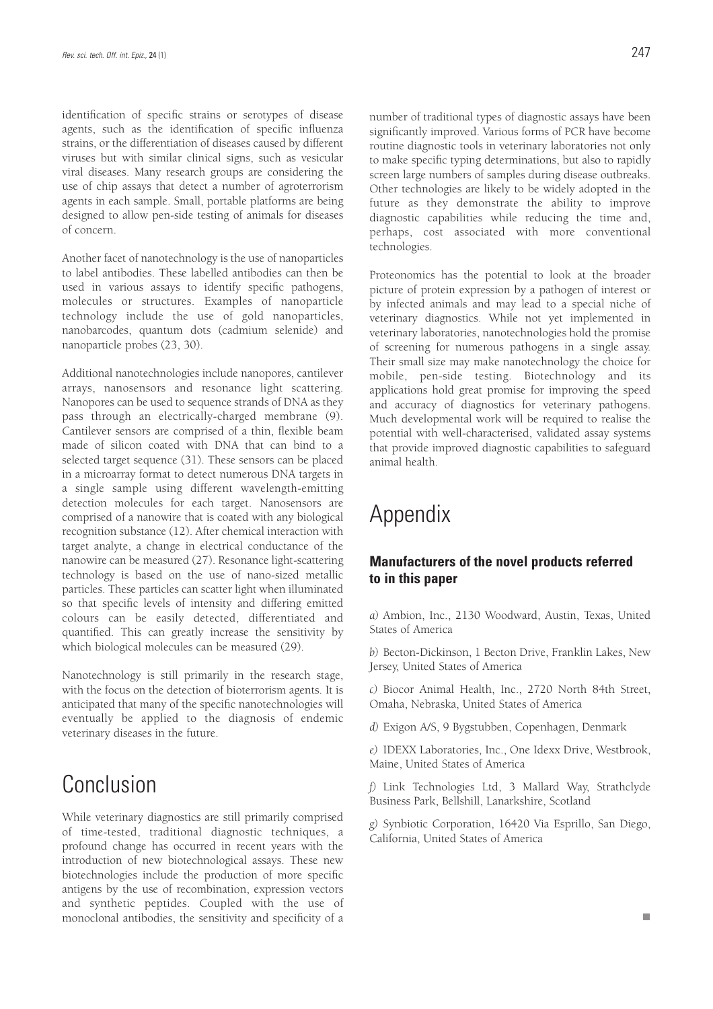identification of specific strains or serotypes of disease agents, such as the identification of specific influenza strains, or the differentiation of diseases caused by different viruses but with similar clinical signs, such as vesicular viral diseases. Many research groups are considering the use of chip assays that detect a number of agroterrorism agents in each sample. Small, portable platforms are being designed to allow pen-side testing of animals for diseases of concern.

Another facet of nanotechnology is the use of nanoparticles to label antibodies. These labelled antibodies can then be used in various assays to identify specific pathogens, molecules or structures. Examples of nanoparticle technology include the use of gold nanoparticles, nanobarcodes, quantum dots (cadmium selenide) and nanoparticle probes (23, 30).

Additional nanotechnologies include nanopores, cantilever arrays, nanosensors and resonance light scattering. Nanopores can be used to sequence strands of DNA as they pass through an electrically-charged membrane (9). Cantilever sensors are comprised of a thin, flexible beam made of silicon coated with DNA that can bind to a selected target sequence (31). These sensors can be placed in a microarray format to detect numerous DNA targets in a single sample using different wavelength-emitting detection molecules for each target. Nanosensors are comprised of a nanowire that is coated with any biological recognition substance (12). After chemical interaction with target analyte, a change in electrical conductance of the nanowire can be measured (27). Resonance light-scattering technology is based on the use of nano-sized metallic particles. These particles can scatter light when illuminated so that specific levels of intensity and differing emitted colours can be easily detected, differentiated and quantified. This can greatly increase the sensitivity by which biological molecules can be measured (29).

Nanotechnology is still primarily in the research stage, with the focus on the detection of bioterrorism agents. It is anticipated that many of the specific nanotechnologies will eventually be applied to the diagnosis of endemic veterinary diseases in the future.

### Conclusion

While veterinary diagnostics are still primarily comprised of time-tested, traditional diagnostic techniques, a profound change has occurred in recent years with the introduction of new biotechnological assays. These new biotechnologies include the production of more specific antigens by the use of recombination, expression vectors and synthetic peptides. Coupled with the use of monoclonal antibodies, the sensitivity and specificity of a

number of traditional types of diagnostic assays have been significantly improved. Various forms of PCR have become routine diagnostic tools in veterinary laboratories not only to make specific typing determinations, but also to rapidly screen large numbers of samples during disease outbreaks. Other technologies are likely to be widely adopted in the future as they demonstrate the ability to improve diagnostic capabilities while reducing the time and, perhaps, cost associated with more conventional technologies.

Proteonomics has the potential to look at the broader picture of protein expression by a pathogen of interest or by infected animals and may lead to a special niche of veterinary diagnostics. While not yet implemented in veterinary laboratories, nanotechnologies hold the promise of screening for numerous pathogens in a single assay. Their small size may make nanotechnology the choice for mobile, pen-side testing. Biotechnology and its applications hold great promise for improving the speed and accuracy of diagnostics for veterinary pathogens. Much developmental work will be required to realise the potential with well-characterised, validated assay systems that provide improved diagnostic capabilities to safeguard animal health.

## Appendix

#### **Manufacturers of the novel products referred to in this paper**

*a)* Ambion, Inc., 2130 Woodward, Austin, Texas, United States of America

*b)* Becton-Dickinson, 1 Becton Drive, Franklin Lakes, New Jersey, United States of America

*c)* Biocor Animal Health, Inc., 2720 North 84th Street, Omaha, Nebraska, United States of America

*d)* Exigon A/S, 9 Bygstubben, Copenhagen, Denmark

*e)* IDEXX Laboratories, Inc., One Idexx Drive, Westbrook, Maine, United States of America

*f)* Link Technologies Ltd, 3 Mallard Way, Strathclyde Business Park, Bellshill, Lanarkshire, Scotland

*g)* Synbiotic Corporation, 16420 Via Esprillo, San Diego, California, United States of America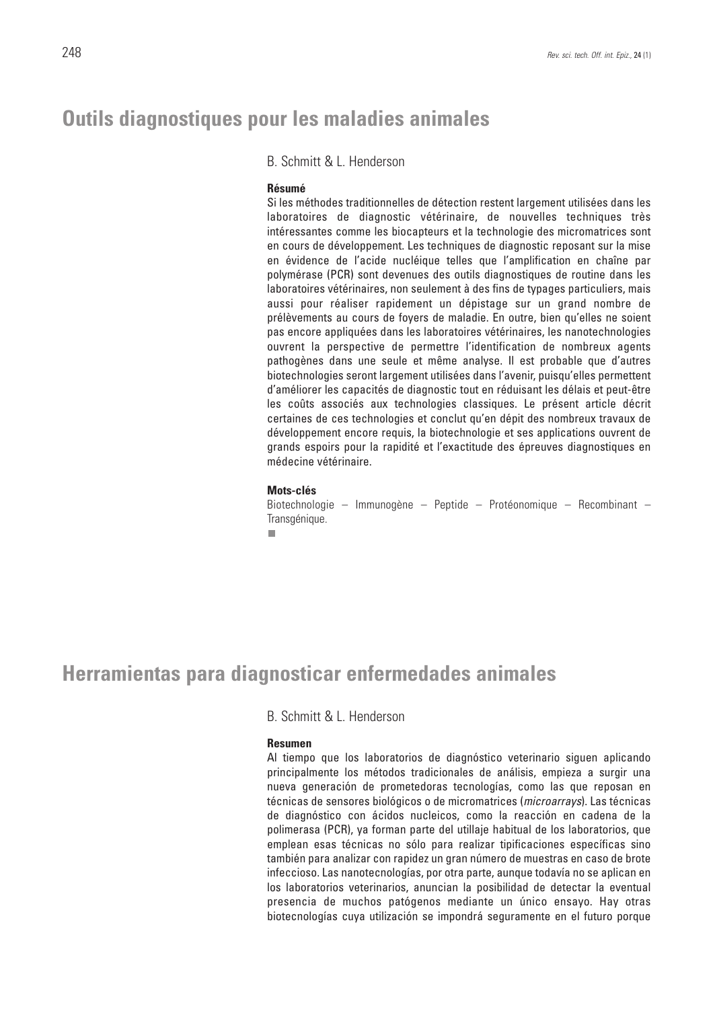#### **Outils diagnostiques pour les maladies animales**

B. Schmitt & L. Henderson

#### **Résumé**

Si les méthodes traditionnelles de détection restent largement utilisées dans les laboratoires de diagnostic vétérinaire, de nouvelles techniques très intéressantes comme les biocapteurs et la technologie des micromatrices sont en cours de développement. Les techniques de diagnostic reposant sur la mise en évidence de l'acide nucléique telles que l'amplification en chaîne par polymérase (PCR) sont devenues des outils diagnostiques de routine dans les laboratoires vétérinaires, non seulement à des fins de typages particuliers, mais aussi pour réaliser rapidement un dépistage sur un grand nombre de prélèvements au cours de foyers de maladie. En outre, bien qu'elles ne soient pas encore appliquées dans les laboratoires vétérinaires, les nanotechnologies ouvrent la perspective de permettre l'identification de nombreux agents pathogènes dans une seule et même analyse. Il est probable que d'autres biotechnologies seront largement utilisées dans l'avenir, puisqu'elles permettent d'améliorer les capacités de diagnostic tout en réduisant les délais et peut-être les coûts associés aux technologies classiques. Le présent article décrit certaines de ces technologies et conclut qu'en dépit des nombreux travaux de développement encore requis, la biotechnologie et ses applications ouvrent de grands espoirs pour la rapidité et l'exactitude des épreuves diagnostiques en médecine vétérinaire.

#### **Mots-clés**

Biotechnologie – Immunogène – Peptide – Protéonomique – Recombinant – Transgénique.

п

#### **Herramientas para diagnosticar enfermedades animales**

B. Schmitt & L. Henderson

#### **Resumen**

Al tiempo que los laboratorios de diagnóstico veterinario siguen aplicando principalmente los métodos tradicionales de análisis, empieza a surgir una nueva generación de prometedoras tecnologías, como las que reposan en técnicas de sensores biológicos o de micromatrices (microarrays). Las técnicas de diagnóstico con ácidos nucleicos, como la reacción en cadena de la polimerasa (PCR), ya forman parte del utillaje habitual de los laboratorios, que emplean esas técnicas no sólo para realizar tipificaciones específicas sino también para analizar con rapidez un gran número de muestras en caso de brote infeccioso. Las nanotecnologías, por otra parte, aunque todavía no se aplican en los laboratorios veterinarios, anuncian la posibilidad de detectar la eventual presencia de muchos patógenos mediante un único ensayo. Hay otras biotecnologías cuya utilización se impondrá seguramente en el futuro porque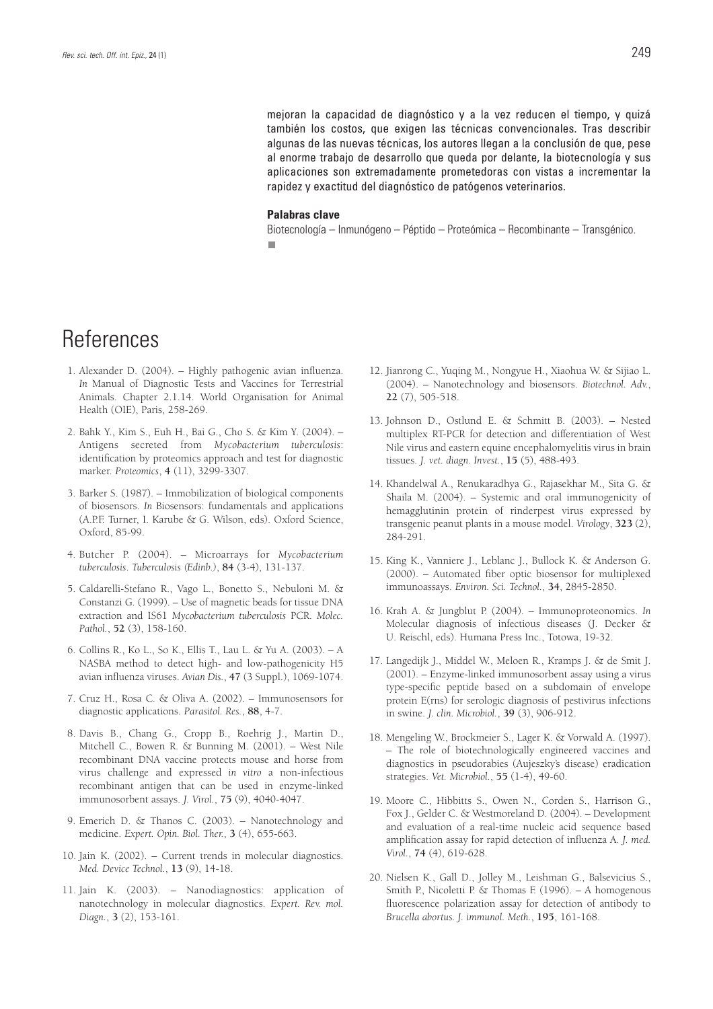mejoran la capacidad de diagnóstico y a la vez reducen el tiempo, y quizá también los costos, que exigen las técnicas convencionales. Tras describir algunas de las nuevas técnicas, los autores llegan a la conclusión de que, pese al enorme trabajo de desarrollo que queda por delante, la biotecnología y sus aplicaciones son extremadamente prometedoras con vistas a incrementar la rapidez y exactitud del diagnóstico de patógenos veterinarios.

#### **Palabras clave**

Biotecnología – Inmunógeno – Péptido – Proteómica – Recombinante – Transgénico.п

#### **References**

- 1. Alexander D. (2004). Highly pathogenic avian influenza. *In* Manual of Diagnostic Tests and Vaccines for Terrestrial Animals. Chapter 2.1.14. World Organisation for Animal Health (OIE), Paris, 258-269.
- 2. Bahk Y., Kim S., Euh H., Bai G., Cho S. & Kim Y. (2004). Antigens secreted from *Mycobacterium tuberculosis*: identification by proteomics approach and test for diagnostic marker. *Proteomics*, **4** (11), 3299-3307.
- 3. Barker S. (1987). Immobilization of biological components of biosensors. *In* Biosensors: fundamentals and applications (A.P.F. Turner, I. Karube & G. Wilson, eds). Oxford Science, Oxford, 85-99.
- 4. Butcher P. (2004). Microarrays for *Mycobacterium tuberculosis*. *Tuberculosis (Edinb.)*, **84** (3-4), 131-137.
- 5. Caldarelli-Stefano R., Vago L., Bonetto S., Nebuloni M. & Constanzi G. (1999). – Use of magnetic beads for tissue DNA extraction and IS61 *Mycobacterium tuberculosis* PCR. *Molec. Pathol.*, **52** (3), 158-160.
- 6. Collins R., Ko L., So K., Ellis T., Lau L. & Yu A. (2003). A NASBA method to detect high- and low-pathogenicity H5 avian influenza viruses. *Avian Dis.*, **47** (3 Suppl.), 1069-1074.
- 7. Cruz H., Rosa C. & Oliva A. (2002). Immunosensors for diagnostic applications. *Parasitol. Res.*, **88**, 4-7.
- 8. Davis B., Chang G., Cropp B., Roehrig J., Martin D., Mitchell C., Bowen R. & Bunning M. (2001). – West Nile recombinant DNA vaccine protects mouse and horse from virus challenge and expressed *in vitro* a non-infectious recombinant antigen that can be used in enzyme-linked immunosorbent assays. *J. Virol.*, **75** (9), 4040-4047.
- 9. Emerich D. & Thanos C. (2003). Nanotechnology and medicine. *Expert. Opin. Biol. Ther.*, **3** (4), 655-663.
- 10. Jain K. (2002). Current trends in molecular diagnostics. *Med. Device Technol.*, **13** (9), 14-18.
- 11. Jain K. (2003). Nanodiagnostics: application of nanotechnology in molecular diagnostics. *Expert. Rev. mol. Diagn.*, **3** (2), 153-161.
- 12. Jianrong C., Yuqing M., Nongyue H., Xiaohua W. & Sijiao L. (2004). – Nanotechnology and biosensors. *Biotechnol. Adv.*, **22** (7), 505-518.
- 13. Johnson D., Ostlund E. & Schmitt B. (2003). Nested multiplex RT-PCR for detection and differentiation of West Nile virus and eastern equine encephalomyelitis virus in brain tissues. *J. vet. diagn. Invest.*, **15** (5), 488-493.
- 14. Khandelwal A., Renukaradhya G., Rajasekhar M., Sita G. & Shaila M. (2004). – Systemic and oral immunogenicity of hemagglutinin protein of rinderpest virus expressed by transgenic peanut plants in a mouse model. *Virology*, **323** (2), 284-291.
- 15. King K., Vanniere J., Leblanc J., Bullock K. & Anderson G. (2000). – Automated fiber optic biosensor for multiplexed immunoassays. *Environ. Sci. Technol.*, **34**, 2845-2850.
- 16. Krah A. & Jungblut P. (2004). Immunoproteonomics. *In* Molecular diagnosis of infectious diseases (J. Decker & U. Reischl, eds). Humana Press Inc., Totowa, 19-32.
- 17. Langedijk J., Middel W., Meloen R., Kramps J. & de Smit J. (2001). – Enzyme-linked immunosorbent assay using a virus type-specific peptide based on a subdomain of envelope protein E(rns) for serologic diagnosis of pestivirus infections in swine. *J. clin. Microbiol.*, **39** (3), 906-912.
- 18. Mengeling W., Brockmeier S., Lager K. & Vorwald A. (1997). – The role of biotechnologically engineered vaccines and diagnostics in pseudorabies (Aujeszky's disease) eradication strategies. *Vet. Microbiol.*, **55** (1-4), 49-60.
- 19. Moore C., Hibbitts S., Owen N., Corden S., Harrison G., Fox J., Gelder C. & Westmoreland D. (2004). – Development and evaluation of a real-time nucleic acid sequence based amplification assay for rapid detection of influenza A. *J. med. Virol.*, **74** (4), 619-628.
- 20. Nielsen K., Gall D., Jolley M., Leishman G., Balsevicius S., Smith P., Nicoletti P. & Thomas F. (1996). – A homogenous fluorescence polarization assay for detection of antibody to *Brucella abortus. J. immunol. Meth.*, **195**, 161-168.